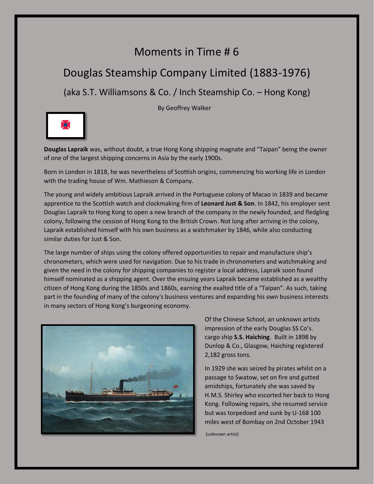## Moments in Time # 6

## Douglas Steamship Company Limited (1883-1976)

(aka S.T. Williamsons & Co. / Inch Steamship Co. – Hong Kong)

By Geoffrey Walker



**Douglas Lapraik** was, without doubt, a true Hong Kong shipping magnate and "Taipan" being the owner of one of the largest shipping concerns in Asia by the early 1900s.

Born in London in 1818, he was nevertheless of Scottish origins, commencing his working life in London with the trading house of Wm. Mathieson & Company.

The young and widely ambitious Lapraik arrived in the Portuguese colony of Macao in 1839 and became apprentice to the Scottish watch and clockmaking firm of **Leonard Just & Son**. In 1842, his employer sent Douglas Lapraik to Hong Kong to open a new branch of the company in the newly founded, and fledgling colony, following the cession of Hong Kong to the British Crown. Not long after arriving in the colony, Lapraik established himself with his own business as a watchmaker by 1846, while also conducting similar duties for Just & Son.

The large number of ships using the colony offered opportunities to repair and manufacture ship's chronometers, which were used for navigation. Due to his trade in chronometers and watchmaking and given the need in the colony for shipping companies to register a local address, Lapraik soon found himself nominated as a shipping agent. Over the ensuing years Lapraik became established as a wealthy citizen of Hong Kong during the 1850s and 1860s, earning the exalted title of a "Taipan". As such, taking part in the founding of many of the colony's business ventures and expanding his own business interests in many sectors of Hong Kong's burgeoning economy.



Of the Chinese School, an unknown artists impression of the early Douglas SS Co's. cargo ship **S.S. Haiching**. Built in 1898 by Dunlop & Co., Glasgow, Haiching registered 2,182 gross tons.

In 1929 she was seized by pirates whilst on a passage to Swatow, set on fire and gutted amidships, fortunately she was saved by H.M.S. Shirley who escorted her back to Hong Kong. Following repairs, she resumed service but was torpedoed and sunk by U-168 100 miles west of Bombay on 2nd October 1943

(unknown artist)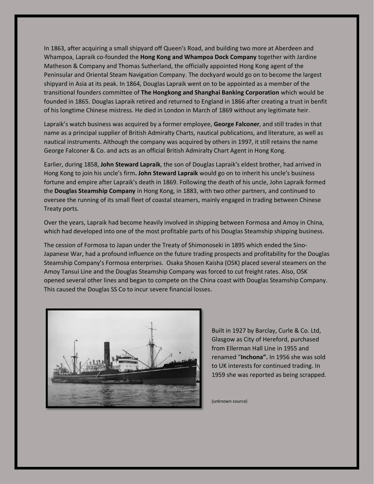In 1863, after acquiring a small shipyard off Queen's Road, and building two more at Aberdeen and Whampoa, Lapraik co-founded the **Hong Kong and Whampoa Dock Company** together with Jardine Matheson & Company and Thomas Sutherland, the officially appointed Hong Kong agent of the Peninsular and Oriental Steam Navigation Company. The dockyard would go on to become the largest shipyard in Asia at its peak. In 1864, Douglas Lapraik went on to be appointed as a member of the transitional founders committee of **The Hongkong and Shanghai Banking Corporation** which would be founded in 1865. Douglas Lapraik retired and returned to England in 1866 after creating a trust in benfit of his longtime Chinese mistress. He died in London in March of 1869 without any legitimate heir.

Lapraik's watch business was acquired by a former employee, **George Falconer**, and still trades in that name as a principal supplier of British Admiralty Charts, nautical publications, and literature, as well as nautical instruments. Although the company was acquired by others in 1997, it still retains the name George Falconer & Co. and acts as an official British Admiralty Chart Agent in Hong Kong.

Earlier, during 1858, **John Steward Lapraik**, the son of Douglas Lapraik's eldest brother, had arrived in Hong Kong to join his uncle's firm**. John Steward Lapraik** would go on to inherit his uncle's business fortune and empire after Lapraik's death in 1869. Following the death of his uncle, John Lapraik formed the **Douglas Steamship Company** in Hong Kong, in 1883, with two other partners, and continued to oversee the running of its small fleet of coastal steamers, mainly engaged in trading between Chinese Treaty ports.

Over the years, Lapraik had become heavily involved in shipping between Formosa and Amoy in China, which had developed into one of the most profitable parts of his Douglas Steamship shipping business.

The cession of Formosa to Japan under the Treaty of Shimonoseki in 1895 which ended the Sino-Japanese War, had a profound influence on the future trading prospects and profitability for the Douglas Steamship Company's Formosa enterprises. Osaka Shosen Kaisha (OSK) placed several steamers on the Amoy Tansui Line and the Douglas Steamship Company was forced to cut freight rates. Also, OSK opened several other lines and began to compete on the China coast with Douglas Steamship Company. This caused the Douglas SS Co to incur severe financial losses.



Built in 1927 by Barclay, Curle & Co. Ltd, Glasgow as City of Hereford, purchased from Ellerman Hall Line in 1955 and renamed "**Inchona".** In 1956 she was sold to UK interests for continued trading. In 1959 she was reported as being scrapped.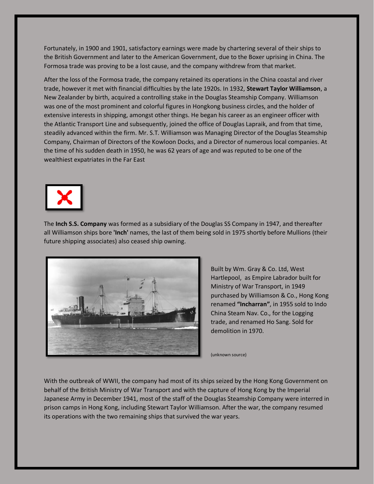Fortunately, in 1900 and 1901, satisfactory earnings were made by chartering several of their ships to the British Government and later to the American Government, due to the Boxer uprising in China. The Formosa trade was proving to be a lost cause, and the company withdrew from that market.

After the loss of the Formosa trade, the company retained its operations in the China coastal and river trade, however it met with financial difficulties by the late 1920s. In 1932, **Stewart Taylor Williamson**, a New Zealander by birth, acquired a controlling stake in the Douglas Steamship Company. Williamson was one of the most prominent and colorful figures in Hongkong business circles, and the holder of extensive interests in shipping, amongst other things. He began his career as an engineer officer with the Atlantic Transport Line and subsequently, joined the office of Douglas Lapraik, and from that time, steadily advanced within the firm. Mr. S.T. Williamson was Managing Director of the Douglas Steamship Company, Chairman of Directors of the Kowloon Docks, and a Director of numerous local companies. At the time of his sudden death in 1950, he was 62 years of age and was reputed to be one of the wealthiest expatriates in the Far East



The **Inch S.S. Company** was formed as a subsidiary of the Douglas SS Company in 1947, and thereafter all Williamson ships bore **'Inch'** names, the last of them being sold in 1975 shortly before Mullions (their future shipping associates) also ceased ship owning.



Built by Wm. Gray & Co. Ltd, West Hartlepool, as Empire Labrador built for Ministry of War Transport, in 1949 purchased by Williamson & Co., Hong Kong renamed **"Incharran"**, in 1955 sold to Indo China Steam Nav. Co., for the Logging trade, and renamed Ho Sang. Sold for demolition in 1970.

(unknown source)

With the outbreak of WWII, the company had most of its ships seized by the Hong Kong Government on behalf of the British Ministry of War Transport and with the capture of Hong Kong by the Imperial Japanese Army in December 1941, most of the staff of the Douglas Steamship Company were interred in prison camps in Hong Kong, including Stewart Taylor Williamson. After the war, the company resumed its operations with the two remaining ships that survived the war years.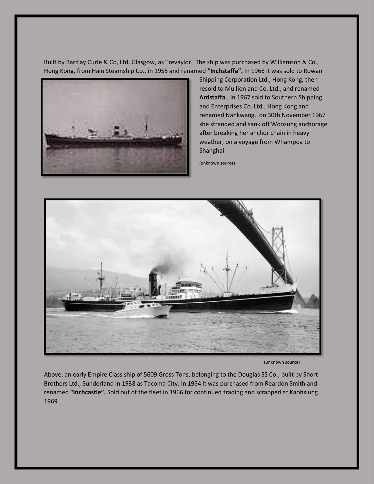Built by Barclay Curle & Co, Ltd, Glasgow, as Trevaylor. The ship was purchased by Williamson & Co., Hong Kong, from Hain Steamship Co., in 1955 and renamed **"Inchstaffa".** In 1966 it was sold to Rowan



Shipping Corporation Ltd., Hong Kong, then resold to Mullion and Co. Ltd., and renamed **Ardstaffa**., in 1967 sold to Southern Shipping and Enterprises Co. Ltd., Hong Kong and renamed Nankwang, on 30th November 1967 she stranded and sank off Woosung anchorage after breaking her anchor chain in heavy weather, on a voyage from Whampoa to Shanghai.

(unknown source)



(unknown source)

Above, an early Empire Class ship of 5609 Gross Tons, belonging to the Douglas SS Co., built by Short Brothers Ltd., Sunderland in 1938 as Tacoma City, in 1954 it was purchased from Reardon Smith and renamed **"Inchcastle".** Sold out of the fleet in 1966 for continued trading and scrapped at Kaohsiung 1969.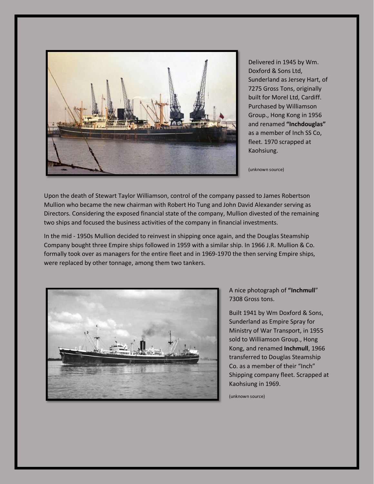

Delivered in 1945 by Wm. Doxford & Sons Ltd, Sunderland as Jersey Hart, of 7275 Gross Tons, originally built for Morel Ltd, Cardiff. Purchased by Williamson Group., Hong Kong in 1956 and renamed **"Inchdouglas"** as a member of Inch SS Co, fleet. 1970 scrapped at Kaohsiung.

(unknown source)

Upon the death of Stewart Taylor Williamson, control of the company passed to James Robertson Mullion who became the new chairman with Robert Ho Tung and John David Alexander serving as Directors. Considering the exposed financial state of the company, Mullion divested of the remaining two ships and focused the business activities of the company in financial investments.

In the mid - 1950s Mullion decided to reinvest in shipping once again, and the Douglas Steamship Company bought three Empire ships followed in 1959 with a similar ship. In 1966 J.R. Mullion & Co. formally took over as managers for the entire fleet and in 1969-1970 the then serving Empire ships, were replaced by other tonnage, among them two tankers.



A nice photograph of **"Inchmull**" 7308 Gross tons.

Built 1941 by Wm Doxford & Sons, Sunderland as Empire Spray for Ministry of War Transport, in 1955 sold to Williamson Group., Hong Kong, and renamed **Inchmull**, 1966 transferred to Douglas Steamship Co. as a member of their "Inch" Shipping company fleet. Scrapped at Kaohsiung in 1969.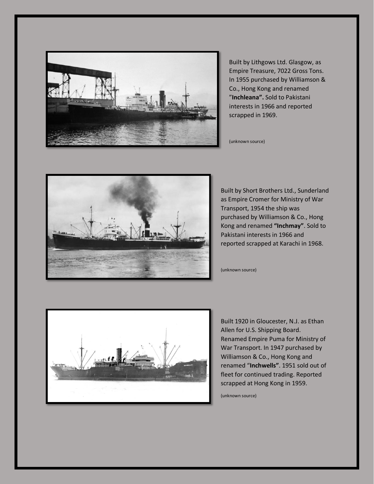

Built by Lithgows Ltd. Glasgow, as Empire Treasure, 7022 Gross Tons. In 1955 purchased by Williamson & Co., Hong Kong and renamed "**Inchleana".** Sold to Pakistani interests in 1966 and reported scrapped in 1969.

(unknown source)



Built by Short Brothers Ltd., Sunderland as Empire Cromer for Ministry of War Transport, 1954 the ship was purchased by Williamson & Co., Hong Kong and renamed **"Inchmay"**. Sold to Pakistani interests in 1966 and reported scrapped at Karachi in 1968.

(unknown source)



Built 1920 in Gloucester, N.J. as Ethan Allen for U.S. Shipping Board. Renamed Empire Puma for Ministry of War Transport. In 1947 purchased by Williamson & Co., Hong Kong and renamed "**Inchwells"**. 1951 sold out of fleet for continued trading. Reported scrapped at Hong Kong in 1959.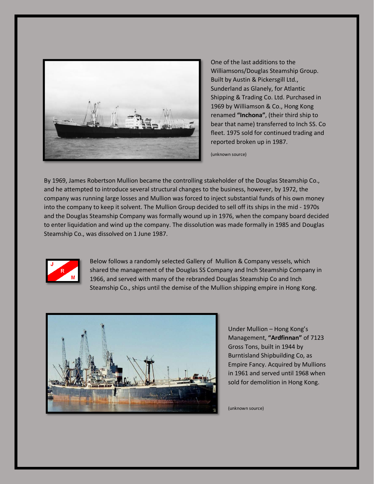

One of the last additions to the Williamsons/Douglas Steamship Group. Built by Austin & Pickersgill Ltd., Sunderland as Glanely, for Atlantic Shipping & Trading Co. Ltd. Purchased in 1969 by Williamson & Co., Hong Kong renamed **"Inchona"**, (their third ship to bear that name) transferred to Inch SS. Co fleet. 1975 sold for continued trading and reported broken up in 1987.

(unknown source)

By 1969, James Robertson Mullion became the controlling stakeholder of the Douglas Steamship Co., and he attempted to introduce several structural changes to the business, however, by 1972, the company was running large losses and Mullion was forced to inject substantial funds of his own money into the company to keep it solvent. The Mullion Group decided to sell off its ships in the mid - 1970s and the Douglas Steamship Company was formally wound up in 1976, when the company board decided to enter liquidation and wind up the company. The dissolution was made formally in 1985 and Douglas Steamship Co., was dissolved on 1 June 1987.



Below follows a randomly selected Gallery of Mullion & Company vessels, which shared the management of the Douglas SS Company and Inch Steamship Company in 1966, and served with many of the rebranded Douglas Steamship Co and Inch Steamship Co., ships until the demise of the Mullion shipping empire in Hong Kong.



Under Mullion – Hong Kong's Management, **"Ardfinnan"** of 7123 Gross Tons, built in 1944 by Burntisland Shipbuilding Co, as Empire Fancy. Acquired by Mullions in 1961 and served until 1968 when sold for demolition in Hong Kong.